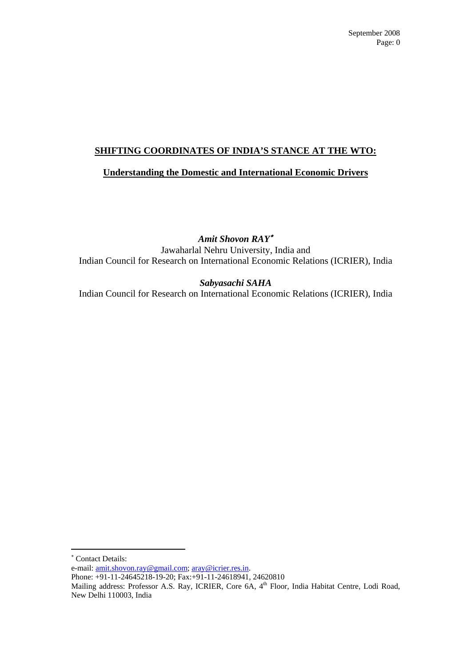## **SHIFTING COORDINATES OF INDIA'S STANCE AT THE WTO:**

# **Understanding the Domestic and International Economic Drivers**

*Amit Shovon RAY*<sup>∗</sup> Jawaharlal Nehru University, India and Indian Council for Research on International Economic Relations (ICRIER), India

*Sabyasachi SAHA* 

Indian Council for Research on International Economic Relations (ICRIER), India

∗ Contact Details:

 $\overline{a}$ 

e-mail: amit.shovon.ray@gmail.com; aray@icrier.res.in.

Phone: +91-11-24645218-19-20; Fax:+91-11-24618941, 24620810

Mailing address: Professor A.S. Ray, ICRIER, Core 6A, 4<sup>th</sup> Floor, India Habitat Centre, Lodi Road, New Delhi 110003, India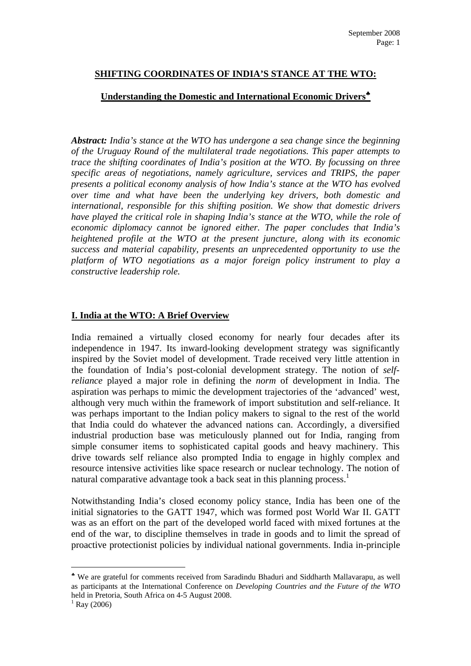## **SHIFTING COORDINATES OF INDIA'S STANCE AT THE WTO:**

### Understanding the Domestic and International Economic Drivers<sup>★</sup>

*Abstract: India's stance at the WTO has undergone a sea change since the beginning of the Uruguay Round of the multilateral trade negotiations. This paper attempts to trace the shifting coordinates of India's position at the WTO. By focussing on three specific areas of negotiations, namely agriculture, services and TRIPS, the paper presents a political economy analysis of how India's stance at the WTO has evolved over time and what have been the underlying key drivers, both domestic and international, responsible for this shifting position. We show that domestic drivers have played the critical role in shaping India's stance at the WTO, while the role of economic diplomacy cannot be ignored either. The paper concludes that India's heightened profile at the WTO at the present juncture, along with its economic success and material capability, presents an unprecedented opportunity to use the platform of WTO negotiations as a major foreign policy instrument to play a constructive leadership role.* 

#### **I. India at the WTO: A Brief Overview**

India remained a virtually closed economy for nearly four decades after its independence in 1947. Its inward-looking development strategy was significantly inspired by the Soviet model of development. Trade received very little attention in the foundation of India's post-colonial development strategy. The notion of *selfreliance* played a major role in defining the *norm* of development in India. The aspiration was perhaps to mimic the development trajectories of the 'advanced' west, although very much within the framework of import substitution and self-reliance. It was perhaps important to the Indian policy makers to signal to the rest of the world that India could do whatever the advanced nations can. Accordingly, a diversified industrial production base was meticulously planned out for India, ranging from simple consumer items to sophisticated capital goods and heavy machinery. This drive towards self reliance also prompted India to engage in highly complex and resource intensive activities like space research or nuclear technology. The notion of natural comparative advantage took a back seat in this planning process.<sup>1</sup>

Notwithstanding India's closed economy policy stance, India has been one of the initial signatories to the GATT 1947, which was formed post World War II. GATT was as an effort on the part of the developed world faced with mixed fortunes at the end of the war, to discipline themselves in trade in goods and to limit the spread of proactive protectionist policies by individual national governments. India in-principle

<sup>♣</sup> We are grateful for comments received from Saradindu Bhaduri and Siddharth Mallavarapu, as well as participants at the International Conference on *Developing Countries and the Future of the WTO* held in Pretoria, South Africa on 4-5 August 2008.

 $^{1}$  Ray (2006)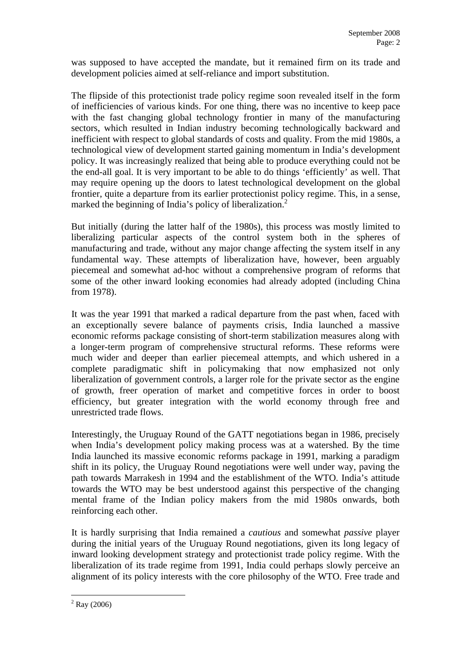was supposed to have accepted the mandate, but it remained firm on its trade and development policies aimed at self-reliance and import substitution.

The flipside of this protectionist trade policy regime soon revealed itself in the form of inefficiencies of various kinds. For one thing, there was no incentive to keep pace with the fast changing global technology frontier in many of the manufacturing sectors, which resulted in Indian industry becoming technologically backward and inefficient with respect to global standards of costs and quality. From the mid 1980s, a technological view of development started gaining momentum in India's development policy. It was increasingly realized that being able to produce everything could not be the end-all goal. It is very important to be able to do things 'efficiently' as well. That may require opening up the doors to latest technological development on the global frontier, quite a departure from its earlier protectionist policy regime. This, in a sense, marked the beginning of India's policy of liberalization.<sup>2</sup>

But initially (during the latter half of the 1980s), this process was mostly limited to liberalizing particular aspects of the control system both in the spheres of manufacturing and trade, without any major change affecting the system itself in any fundamental way. These attempts of liberalization have, however, been arguably piecemeal and somewhat ad-hoc without a comprehensive program of reforms that some of the other inward looking economies had already adopted (including China from 1978).

It was the year 1991 that marked a radical departure from the past when, faced with an exceptionally severe balance of payments crisis, India launched a massive economic reforms package consisting of short-term stabilization measures along with a longer-term program of comprehensive structural reforms. These reforms were much wider and deeper than earlier piecemeal attempts, and which ushered in a complete paradigmatic shift in policymaking that now emphasized not only liberalization of government controls, a larger role for the private sector as the engine of growth, freer operation of market and competitive forces in order to boost efficiency, but greater integration with the world economy through free and unrestricted trade flows.

Interestingly, the Uruguay Round of the GATT negotiations began in 1986, precisely when India's development policy making process was at a watershed. By the time India launched its massive economic reforms package in 1991, marking a paradigm shift in its policy, the Uruguay Round negotiations were well under way, paving the path towards Marrakesh in 1994 and the establishment of the WTO. India's attitude towards the WTO may be best understood against this perspective of the changing mental frame of the Indian policy makers from the mid 1980s onwards, both reinforcing each other.

It is hardly surprising that India remained a *cautious* and somewhat *passive* player during the initial years of the Uruguay Round negotiations, given its long legacy of inward looking development strategy and protectionist trade policy regime. With the liberalization of its trade regime from 1991, India could perhaps slowly perceive an alignment of its policy interests with the core philosophy of the WTO. Free trade and

<sup>&</sup>lt;sup>2</sup> Ray (2006)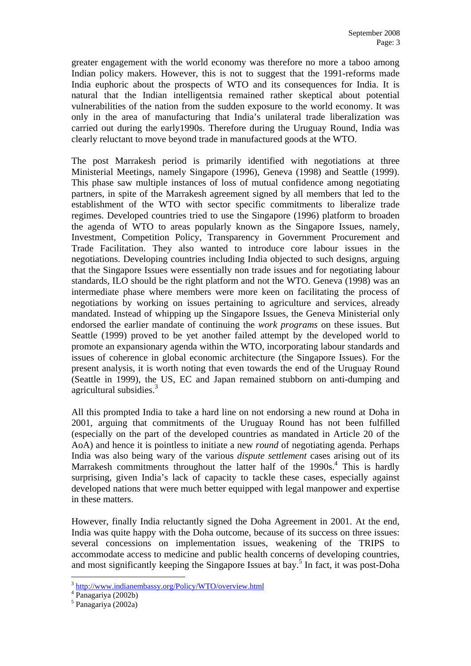greater engagement with the world economy was therefore no more a taboo among Indian policy makers. However, this is not to suggest that the 1991-reforms made India euphoric about the prospects of WTO and its consequences for India. It is natural that the Indian intelligentsia remained rather skeptical about potential vulnerabilities of the nation from the sudden exposure to the world economy. It was only in the area of manufacturing that India's unilateral trade liberalization was carried out during the early1990s. Therefore during the Uruguay Round, India was clearly reluctant to move beyond trade in manufactured goods at the WTO.

The post Marrakesh period is primarily identified with negotiations at three Ministerial Meetings, namely Singapore (1996), Geneva (1998) and Seattle (1999). This phase saw multiple instances of loss of mutual confidence among negotiating partners, in spite of the Marrakesh agreement signed by all members that led to the establishment of the WTO with sector specific commitments to liberalize trade regimes. Developed countries tried to use the Singapore (1996) platform to broaden the agenda of WTO to areas popularly known as the Singapore Issues, namely, Investment, Competition Policy, Transparency in Government Procurement and Trade Facilitation. They also wanted to introduce core labour issues in the negotiations. Developing countries including India objected to such designs, arguing that the Singapore Issues were essentially non trade issues and for negotiating labour standards, ILO should be the right platform and not the WTO. Geneva (1998) was an intermediate phase where members were more keen on facilitating the process of negotiations by working on issues pertaining to agriculture and services, already mandated. Instead of whipping up the Singapore Issues, the Geneva Ministerial only endorsed the earlier mandate of continuing the *work programs* on these issues. But Seattle (1999) proved to be yet another failed attempt by the developed world to promote an expansionary agenda within the WTO, incorporating labour standards and issues of coherence in global economic architecture (the Singapore Issues). For the present analysis, it is worth noting that even towards the end of the Uruguay Round (Seattle in 1999), the US, EC and Japan remained stubborn on anti-dumping and agricultural subsidies.<sup>3</sup>

All this prompted India to take a hard line on not endorsing a new round at Doha in 2001, arguing that commitments of the Uruguay Round has not been fulfilled (especially on the part of the developed countries as mandated in Article 20 of the AoA) and hence it is pointless to initiate a new *round* of negotiating agenda. Perhaps India was also being wary of the various *dispute settlement* cases arising out of its Marrakesh commitments throughout the latter half of the 1990s.<sup>4</sup> This is hardly surprising, given India's lack of capacity to tackle these cases, especially against developed nations that were much better equipped with legal manpower and expertise in these matters.

However, finally India reluctantly signed the Doha Agreement in 2001. At the end, India was quite happy with the Doha outcome, because of its success on three issues: several concessions on implementation issues, weakening of the TRIPS to accommodate access to medicine and public health concerns of developing countries, and most significantly keeping the Singapore Issues at bay.<sup>5</sup> In fact, it was post-Doha

<sup>&</sup>lt;sup>3</sup> http://www.indianembassy.org/Policy/WTO/overview.html

<sup>4</sup> Panagariya (2002b)

<sup>5</sup> Panagariya (2002a)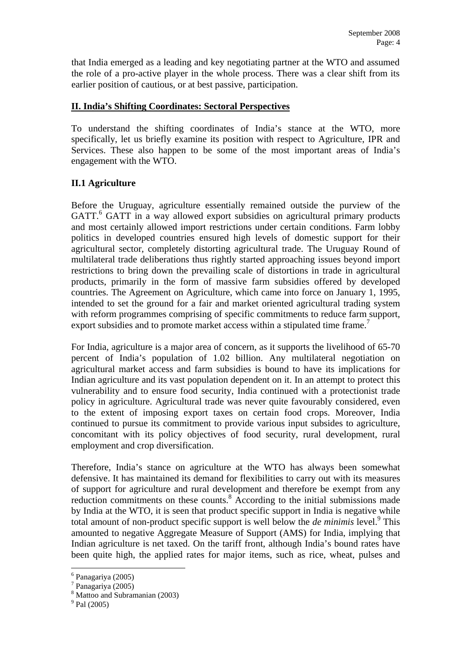that India emerged as a leading and key negotiating partner at the WTO and assumed the role of a pro-active player in the whole process. There was a clear shift from its earlier position of cautious, or at best passive, participation.

## **II. India's Shifting Coordinates: Sectoral Perspectives**

To understand the shifting coordinates of India's stance at the WTO, more specifically, let us briefly examine its position with respect to Agriculture, IPR and Services. These also happen to be some of the most important areas of India's engagement with the WTO.

## **II.1 Agriculture**

Before the Uruguay, agriculture essentially remained outside the purview of the GATT.<sup>6</sup> GATT in a way allowed export subsidies on agricultural primary products and most certainly allowed import restrictions under certain conditions. Farm lobby politics in developed countries ensured high levels of domestic support for their agricultural sector, completely distorting agricultural trade. The Uruguay Round of multilateral trade deliberations thus rightly started approaching issues beyond import restrictions to bring down the prevailing scale of distortions in trade in agricultural products, primarily in the form of massive farm subsidies offered by developed countries. The Agreement on Agriculture, which came into force on January 1, 1995, intended to set the ground for a fair and market oriented agricultural trading system with reform programmes comprising of specific commitments to reduce farm support, export subsidies and to promote market access within a stipulated time frame.<sup>7</sup>

For India, agriculture is a major area of concern, as it supports the livelihood of 65-70 percent of India's population of 1.02 billion. Any multilateral negotiation on agricultural market access and farm subsidies is bound to have its implications for Indian agriculture and its vast population dependent on it. In an attempt to protect this vulnerability and to ensure food security, India continued with a protectionist trade policy in agriculture. Agricultural trade was never quite favourably considered, even to the extent of imposing export taxes on certain food crops. Moreover, India continued to pursue its commitment to provide various input subsides to agriculture, concomitant with its policy objectives of food security, rural development, rural employment and crop diversification.

Therefore, India's stance on agriculture at the WTO has always been somewhat defensive. It has maintained its demand for flexibilities to carry out with its measures of support for agriculture and rural development and therefore be exempt from any reduction commitments on these counts.<sup>8</sup> According to the initial submissions made by India at the WTO, it is seen that product specific support in India is negative while total amount of non-product specific support is well below the *de minimis* level.9 This amounted to negative Aggregate Measure of Support (AMS) for India, implying that Indian agriculture is net taxed. On the tariff front, although India's bound rates have been quite high, the applied rates for major items, such as rice, wheat, pulses and

 6 Panagariya (2005)

<sup>7</sup> Panagariya (2005)

<sup>8</sup> Mattoo and Subramanian (2003)

<sup>&</sup>lt;sup>9</sup> Pal (2005)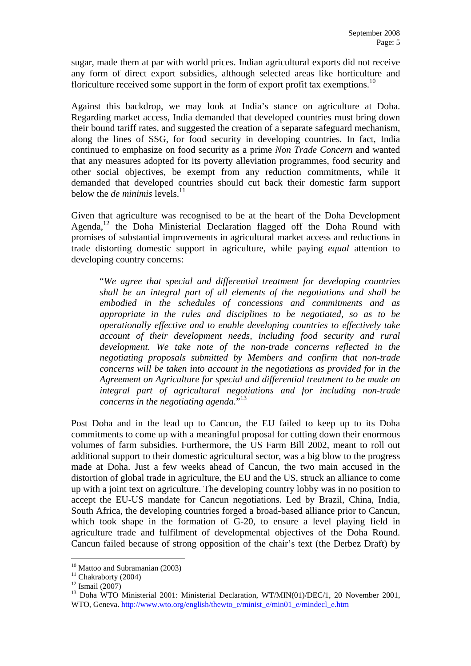sugar, made them at par with world prices. Indian agricultural exports did not receive any form of direct export subsidies, although selected areas like horticulture and floriculture received some support in the form of export profit tax exemptions.<sup>10</sup>

Against this backdrop, we may look at India's stance on agriculture at Doha. Regarding market access, India demanded that developed countries must bring down their bound tariff rates, and suggested the creation of a separate safeguard mechanism, along the lines of SSG, for food security in developing countries. In fact, India continued to emphasize on food security as a prime *Non Trade Concern* and wanted that any measures adopted for its poverty alleviation programmes, food security and other social objectives, be exempt from any reduction commitments, while it demanded that developed countries should cut back their domestic farm support below the *de minimis* levels.<sup>11</sup>

Given that agriculture was recognised to be at the heart of the Doha Development Agenda,<sup>12</sup> the Doha Ministerial Declaration flagged off the Doha Round with promises of substantial improvements in agricultural market access and reductions in trade distorting domestic support in agriculture, while paying *equal* attention to developing country concerns:

"*We agree that special and differential treatment for developing countries shall be an integral part of all elements of the negotiations and shall be embodied in the schedules of concessions and commitments and as appropriate in the rules and disciplines to be negotiated, so as to be operationally effective and to enable developing countries to effectively take account of their development needs, including food security and rural development. We take note of the non-trade concerns reflected in the negotiating proposals submitted by Members and confirm that non-trade concerns will be taken into account in the negotiations as provided for in the Agreement on Agriculture for special and differential treatment to be made an integral part of agricultural negotiations and for including non-trade concerns in the negotiating agenda.*" 13

Post Doha and in the lead up to Cancun, the EU failed to keep up to its Doha commitments to come up with a meaningful proposal for cutting down their enormous volumes of farm subsidies. Furthermore, the US Farm Bill 2002, meant to roll out additional support to their domestic agricultural sector, was a big blow to the progress made at Doha. Just a few weeks ahead of Cancun, the two main accused in the distortion of global trade in agriculture, the EU and the US, struck an alliance to come up with a joint text on agriculture. The developing country lobby was in no position to accept the EU-US mandate for Cancun negotiations. Led by Brazil, China, India, South Africa, the developing countries forged a broad-based alliance prior to Cancun, which took shape in the formation of G-20, to ensure a level playing field in agriculture trade and fulfilment of developmental objectives of the Doha Round. Cancun failed because of strong opposition of the chair's text (the Derbez Draft) by

 $10$  Mattoo and Subramanian (2003)

 $11$  Chakraborty (2004)

 $12$  Ismail (2007)

<sup>&</sup>lt;sup>13</sup> Doha WTO Ministerial 2001: Ministerial Declaration, WT/MIN(01)/DEC/1, 20 November 2001, WTO, Geneva. http://www.wto.org/english/thewto\_e/minist\_e/min01\_e/mindecl\_e.htm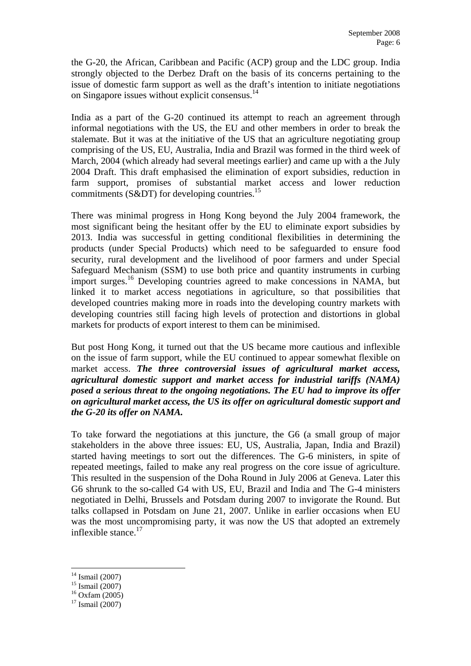the G-20, the African, Caribbean and Pacific (ACP) group and the LDC group. India strongly objected to the Derbez Draft on the basis of its concerns pertaining to the issue of domestic farm support as well as the draft's intention to initiate negotiations on Singapore issues without explicit consensus.14

India as a part of the G-20 continued its attempt to reach an agreement through informal negotiations with the US, the EU and other members in order to break the stalemate. But it was at the initiative of the US that an agriculture negotiating group comprising of the US, EU, Australia, India and Brazil was formed in the third week of March, 2004 (which already had several meetings earlier) and came up with a the July 2004 Draft. This draft emphasised the elimination of export subsidies, reduction in farm support, promises of substantial market access and lower reduction commitments (S&DT) for developing countries.<sup>15</sup>

There was minimal progress in Hong Kong beyond the July 2004 framework, the most significant being the hesitant offer by the EU to eliminate export subsidies by 2013. India was successful in getting conditional flexibilities in determining the products (under Special Products) which need to be safeguarded to ensure food security, rural development and the livelihood of poor farmers and under Special Safeguard Mechanism (SSM) to use both price and quantity instruments in curbing import surges.<sup>16</sup> Developing countries agreed to make concessions in NAMA, but linked it to market access negotiations in agriculture, so that possibilities that developed countries making more in roads into the developing country markets with developing countries still facing high levels of protection and distortions in global markets for products of export interest to them can be minimised.

But post Hong Kong, it turned out that the US became more cautious and inflexible on the issue of farm support, while the EU continued to appear somewhat flexible on market access. *The three controversial issues of agricultural market access, agricultural domestic support and market access for industrial tariffs (NAMA) posed a serious threat to the ongoing negotiations. The EU had to improve its offer on agricultural market access, the US its offer on agricultural domestic support and the G-20 its offer on NAMA.* 

To take forward the negotiations at this juncture, the G6 (a small group of major stakeholders in the above three issues: EU, US, Australia, Japan, India and Brazil) started having meetings to sort out the differences. The G-6 ministers, in spite of repeated meetings, failed to make any real progress on the core issue of agriculture. This resulted in the suspension of the Doha Round in July 2006 at Geneva. Later this G6 shrunk to the so-called G4 with US, EU, Brazil and India and The G-4 ministers negotiated in Delhi, Brussels and Potsdam during 2007 to invigorate the Round. But talks collapsed in Potsdam on June 21, 2007. Unlike in earlier occasions when EU was the most uncompromising party, it was now the US that adopted an extremely inflexible stance.<sup>17</sup>

 $\overline{a}$ 

 $15$  Ismail (2007)

 $14$  Ismail (2007)

 $16$  Oxfam (2005)

 $17$  Ismail (2007)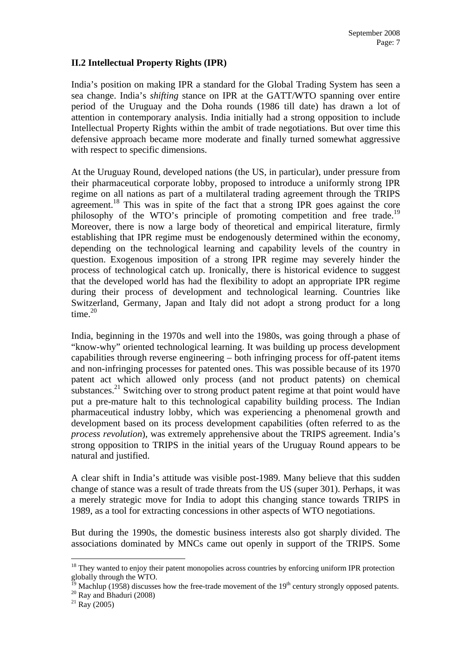### **II.2 Intellectual Property Rights (IPR)**

India's position on making IPR a standard for the Global Trading System has seen a sea change. India's *shifting* stance on IPR at the GATT/WTO spanning over entire period of the Uruguay and the Doha rounds (1986 till date) has drawn a lot of attention in contemporary analysis. India initially had a strong opposition to include Intellectual Property Rights within the ambit of trade negotiations. But over time this defensive approach became more moderate and finally turned somewhat aggressive with respect to specific dimensions.

At the Uruguay Round, developed nations (the US, in particular), under pressure from their pharmaceutical corporate lobby, proposed to introduce a uniformly strong IPR regime on all nations as part of a multilateral trading agreement through the TRIPS agreement.<sup>18</sup> This was in spite of the fact that a strong IPR goes against the core philosophy of the WTO's principle of promoting competition and free trade.<sup>19</sup> Moreover, there is now a large body of theoretical and empirical literature, firmly establishing that IPR regime must be endogenously determined within the economy, depending on the technological learning and capability levels of the country in question. Exogenous imposition of a strong IPR regime may severely hinder the process of technological catch up. Ironically, there is historical evidence to suggest that the developed world has had the flexibility to adopt an appropriate IPR regime during their process of development and technological learning. Countries like Switzerland, Germany, Japan and Italy did not adopt a strong product for a long time. $20$ 

India, beginning in the 1970s and well into the 1980s, was going through a phase of "know-why" oriented technological learning. It was building up process development capabilities through reverse engineering – both infringing process for off-patent items and non-infringing processes for patented ones. This was possible because of its 1970 patent act which allowed only process (and not product patents) on chemical substances.<sup>21</sup> Switching over to strong product patent regime at that point would have put a pre-mature halt to this technological capability building process. The Indian pharmaceutical industry lobby, which was experiencing a phenomenal growth and development based on its process development capabilities (often referred to as the *process revolution*), was extremely apprehensive about the TRIPS agreement. India's strong opposition to TRIPS in the initial years of the Uruguay Round appears to be natural and justified.

A clear shift in India's attitude was visible post-1989. Many believe that this sudden change of stance was a result of trade threats from the US (super 301). Perhaps, it was a merely strategic move for India to adopt this changing stance towards TRIPS in 1989, as a tool for extracting concessions in other aspects of WTO negotiations.

But during the 1990s, the domestic business interests also got sharply divided. The associations dominated by MNCs came out openly in support of the TRIPS. Some

<sup>&</sup>lt;sup>18</sup> They wanted to enjoy their patent monopolies across countries by enforcing uniform IPR protection globally through the WTO.

<sup>&</sup>lt;sup>19</sup> Machlup (1958) discusses how the free-trade movement of the  $19<sup>th</sup>$  century strongly opposed patents. <sup>20</sup> Ray and Bhaduri (2008)

 $^{21}$  Ray (2005)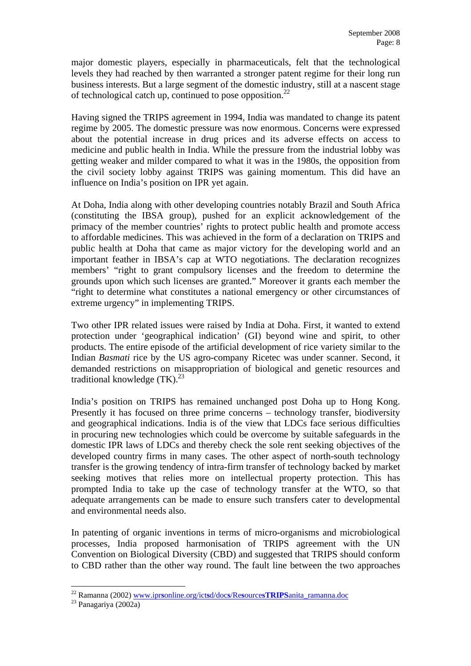major domestic players, especially in pharmaceuticals, felt that the technological levels they had reached by then warranted a stronger patent regime for their long run business interests. But a large segment of the domestic industry, still at a nascent stage of technological catch up, continued to pose opposition.<sup>22</sup>

Having signed the TRIPS agreement in 1994, India was mandated to change its patent regime by 2005. The domestic pressure was now enormous. Concerns were expressed about the potential increase in drug prices and its adverse effects on access to medicine and public health in India. While the pressure from the industrial lobby was getting weaker and milder compared to what it was in the 1980s, the opposition from the civil society lobby against TRIPS was gaining momentum. This did have an influence on India's position on IPR yet again.

At Doha, India along with other developing countries notably Brazil and South Africa (constituting the IBSA group), pushed for an explicit acknowledgement of the primacy of the member countries' rights to protect public health and promote access to affordable medicines. This was achieved in the form of a declaration on TRIPS and public health at Doha that came as major victory for the developing world and an important feather in IBSA's cap at WTO negotiations. The declaration recognizes members' "right to grant compulsory licenses and the freedom to determine the grounds upon which such licenses are granted." Moreover it grants each member the "right to determine what constitutes a national emergency or other circumstances of extreme urgency" in implementing TRIPS.

Two other IPR related issues were raised by India at Doha. First, it wanted to extend protection under 'geographical indication' (GI) beyond wine and spirit, to other products. The entire episode of the artificial development of rice variety similar to the Indian *Basmati* rice by the US agro-company Ricetec was under scanner. Second, it demanded restrictions on misappropriation of biological and genetic resources and traditional knowledge  $(TK)^{23}$ 

India's position on TRIPS has remained unchanged post Doha up to Hong Kong. Presently it has focused on three prime concerns – technology transfer, biodiversity and geographical indications. India is of the view that LDCs face serious difficulties in procuring new technologies which could be overcome by suitable safeguards in the domestic IPR laws of LDCs and thereby check the sole rent seeking objectives of the developed country firms in many cases. The other aspect of north-south technology transfer is the growing tendency of intra-firm transfer of technology backed by market seeking motives that relies more on intellectual property protection. This has prompted India to take up the case of technology transfer at the WTO, so that adequate arrangements can be made to ensure such transfers cater to developmental and environmental needs also.

In patenting of organic inventions in terms of micro-organisms and microbiological processes, India proposed harmonisation of TRIPS agreement with the UN Convention on Biological Diversity (CBD) and suggested that TRIPS should conform to CBD rather than the other way round. The fault line between the two approaches

<sup>22</sup> Ramanna (2002) www.ipr**s**online.org/ict**s**d/doc**s**/Re**s**ource**sTRIPS**anita\_ramanna.doc 23 Panagariya (2002a)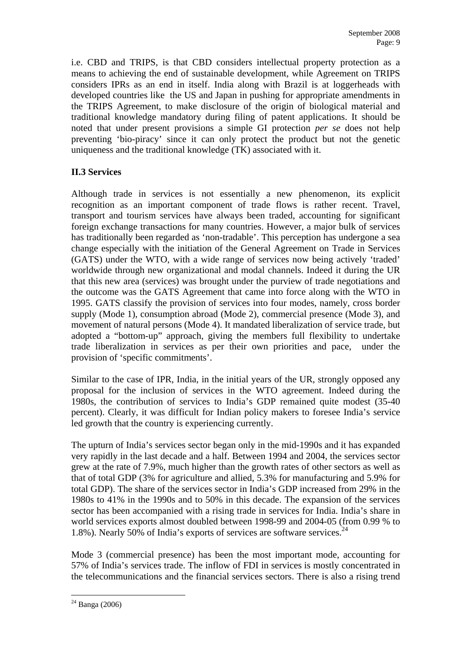i.e. CBD and TRIPS, is that CBD considers intellectual property protection as a means to achieving the end of sustainable development, while Agreement on TRIPS considers IPRs as an end in itself. India along with Brazil is at loggerheads with developed countries like the US and Japan in pushing for appropriate amendments in the TRIPS Agreement, to make disclosure of the origin of biological material and traditional knowledge mandatory during filing of patent applications. It should be noted that under present provisions a simple GI protection *per se* does not help preventing 'bio-piracy' since it can only protect the product but not the genetic uniqueness and the traditional knowledge (TK) associated with it.

## **II.3 Services**

Although trade in services is not essentially a new phenomenon, its explicit recognition as an important component of trade flows is rather recent. Travel, transport and tourism services have always been traded, accounting for significant foreign exchange transactions for many countries. However, a major bulk of services has traditionally been regarded as 'non-tradable'. This perception has undergone a sea change especially with the initiation of the General Agreement on Trade in Services (GATS) under the WTO, with a wide range of services now being actively 'traded' worldwide through new organizational and modal channels. Indeed it during the UR that this new area (services) was brought under the purview of trade negotiations and the outcome was the GATS Agreement that came into force along with the WTO in 1995. GATS classify the provision of services into four modes, namely, cross border supply (Mode 1), consumption abroad (Mode 2), commercial presence (Mode 3), and movement of natural persons (Mode 4). It mandated liberalization of service trade, but adopted a "bottom-up" approach, giving the members full flexibility to undertake trade liberalization in services as per their own priorities and pace, under the provision of 'specific commitments'.

Similar to the case of IPR, India, in the initial years of the UR, strongly opposed any proposal for the inclusion of services in the WTO agreement. Indeed during the 1980s, the contribution of services to India's GDP remained quite modest (35-40 percent). Clearly, it was difficult for Indian policy makers to foresee India's service led growth that the country is experiencing currently.

The upturn of India's services sector began only in the mid-1990s and it has expanded very rapidly in the last decade and a half. Between 1994 and 2004, the services sector grew at the rate of 7.9%, much higher than the growth rates of other sectors as well as that of total GDP (3% for agriculture and allied, 5.3% for manufacturing and 5.9% for total GDP). The share of the services sector in India's GDP increased from 29% in the 1980s to 41% in the 1990s and to 50% in this decade. The expansion of the services sector has been accompanied with a rising trade in services for India. India's share in world services exports almost doubled between 1998-99 and 2004-05 (from 0.99 % to 1.8%). Nearly 50% of India's exports of services are software services.<sup>24</sup>

Mode 3 (commercial presence) has been the most important mode, accounting for 57% of India's services trade. The inflow of FDI in services is mostly concentrated in the telecommunications and the financial services sectors. There is also a rising trend

 $24$  Banga (2006)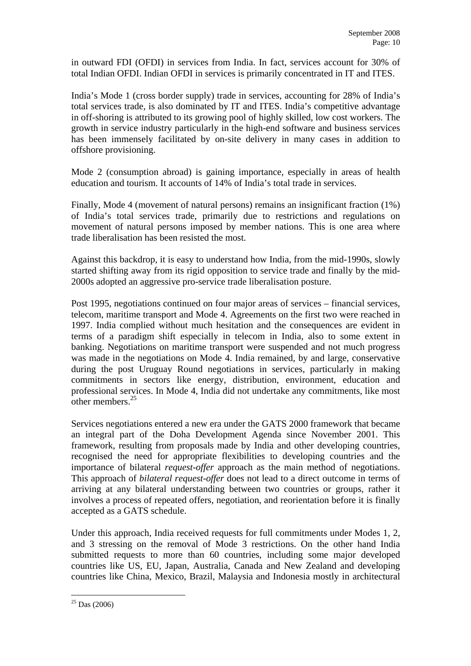in outward FDI (OFDI) in services from India. In fact, services account for 30% of total Indian OFDI. Indian OFDI in services is primarily concentrated in IT and ITES.

India's Mode 1 (cross border supply) trade in services, accounting for 28% of India's total services trade, is also dominated by IT and ITES. India's competitive advantage in off-shoring is attributed to its growing pool of highly skilled, low cost workers. The growth in service industry particularly in the high-end software and business services has been immensely facilitated by on-site delivery in many cases in addition to offshore provisioning.

Mode 2 (consumption abroad) is gaining importance, especially in areas of health education and tourism. It accounts of 14% of India's total trade in services.

Finally, Mode 4 (movement of natural persons) remains an insignificant fraction (1%) of India's total services trade, primarily due to restrictions and regulations on movement of natural persons imposed by member nations. This is one area where trade liberalisation has been resisted the most.

Against this backdrop, it is easy to understand how India, from the mid-1990s, slowly started shifting away from its rigid opposition to service trade and finally by the mid-2000s adopted an aggressive pro-service trade liberalisation posture.

Post 1995, negotiations continued on four major areas of services – financial services, telecom, maritime transport and Mode 4. Agreements on the first two were reached in 1997. India complied without much hesitation and the consequences are evident in terms of a paradigm shift especially in telecom in India, also to some extent in banking. Negotiations on maritime transport were suspended and not much progress was made in the negotiations on Mode 4. India remained, by and large, conservative during the post Uruguay Round negotiations in services, particularly in making commitments in sectors like energy, distribution, environment, education and professional services. In Mode 4, India did not undertake any commitments, like most other members.25

Services negotiations entered a new era under the GATS 2000 framework that became an integral part of the Doha Development Agenda since November 2001. This framework, resulting from proposals made by India and other developing countries, recognised the need for appropriate flexibilities to developing countries and the importance of bilateral *request-offer* approach as the main method of negotiations. This approach of *bilateral request-offer* does not lead to a direct outcome in terms of arriving at any bilateral understanding between two countries or groups, rather it involves a process of repeated offers, negotiation, and reorientation before it is finally accepted as a GATS schedule.

Under this approach, India received requests for full commitments under Modes 1, 2, and 3 stressing on the removal of Mode 3 restrictions. On the other hand India submitted requests to more than 60 countries, including some major developed countries like US, EU, Japan, Australia, Canada and New Zealand and developing countries like China, Mexico, Brazil, Malaysia and Indonesia mostly in architectural

 $25$  Das (2006)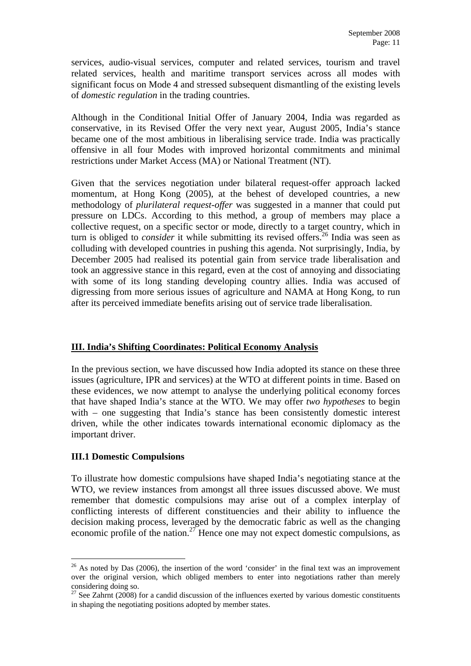services, audio-visual services, computer and related services, tourism and travel related services, health and maritime transport services across all modes with significant focus on Mode 4 and stressed subsequent dismantling of the existing levels of *domestic regulation* in the trading countries.

Although in the Conditional Initial Offer of January 2004, India was regarded as conservative, in its Revised Offer the very next year, August 2005, India's stance became one of the most ambitious in liberalising service trade. India was practically offensive in all four Modes with improved horizontal commitments and minimal restrictions under Market Access (MA) or National Treatment (NT).

Given that the services negotiation under bilateral request-offer approach lacked momentum, at Hong Kong (2005), at the behest of developed countries, a new methodology of *plurilateral request-offer* was suggested in a manner that could put pressure on LDCs. According to this method, a group of members may place a collective request, on a specific sector or mode, directly to a target country, which in turn is obliged to *consider* it while submitting its revised offers.<sup>26</sup> India was seen as colluding with developed countries in pushing this agenda. Not surprisingly, India, by December 2005 had realised its potential gain from service trade liberalisation and took an aggressive stance in this regard, even at the cost of annoying and dissociating with some of its long standing developing country allies. India was accused of digressing from more serious issues of agriculture and NAMA at Hong Kong, to run after its perceived immediate benefits arising out of service trade liberalisation.

#### **III. India's Shifting Coordinates: Political Economy Analysis**

In the previous section, we have discussed how India adopted its stance on these three issues (agriculture, IPR and services) at the WTO at different points in time. Based on these evidences, we now attempt to analyse the underlying political economy forces that have shaped India's stance at the WTO. We may offer *two hypotheses* to begin with – one suggesting that India's stance has been consistently domestic interest driven, while the other indicates towards international economic diplomacy as the important driver.

#### **III.1 Domestic Compulsions**

To illustrate how domestic compulsions have shaped India's negotiating stance at the WTO, we review instances from amongst all three issues discussed above. We must remember that domestic compulsions may arise out of a complex interplay of conflicting interests of different constituencies and their ability to influence the decision making process, leveraged by the democratic fabric as well as the changing economic profile of the nation.<sup>27</sup> Hence one may not expect domestic compulsions, as

 $\overline{a}$  $26$  As noted by Das (2006), the insertion of the word 'consider' in the final text was an improvement over the original version, which obliged members to enter into negotiations rather than merely considering doing so.

 $^{27}$  See Zahrnt (2008) for a candid discussion of the influences exerted by various domestic constituents in shaping the negotiating positions adopted by member states.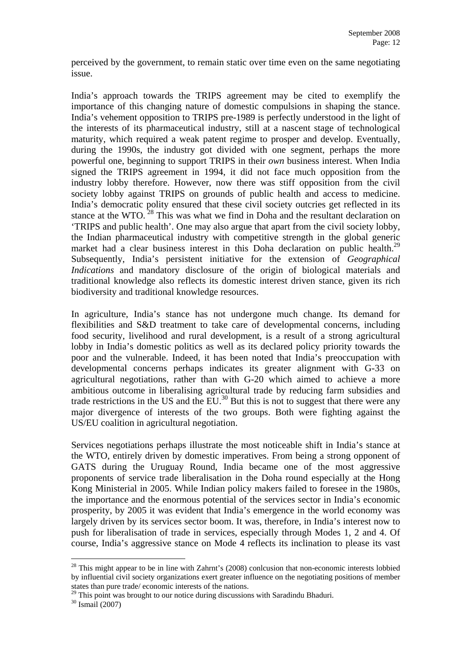perceived by the government, to remain static over time even on the same negotiating issue.

India's approach towards the TRIPS agreement may be cited to exemplify the importance of this changing nature of domestic compulsions in shaping the stance. India's vehement opposition to TRIPS pre-1989 is perfectly understood in the light of the interests of its pharmaceutical industry, still at a nascent stage of technological maturity, which required a weak patent regime to prosper and develop. Eventually, during the 1990s, the industry got divided with one segment, perhaps the more powerful one, beginning to support TRIPS in their *own* business interest. When India signed the TRIPS agreement in 1994, it did not face much opposition from the industry lobby therefore. However, now there was stiff opposition from the civil society lobby against TRIPS on grounds of public health and access to medicine. India's democratic polity ensured that these civil society outcries get reflected in its stance at the WTO.<sup>28</sup> This was what we find in Doha and the resultant declaration on 'TRIPS and public health'. One may also argue that apart from the civil society lobby, the Indian pharmaceutical industry with competitive strength in the global generic market had a clear business interest in this Doha declaration on public health.<sup>29</sup> Subsequently, India's persistent initiative for the extension of *Geographical Indications* and mandatory disclosure of the origin of biological materials and traditional knowledge also reflects its domestic interest driven stance, given its rich biodiversity and traditional knowledge resources.

In agriculture, India's stance has not undergone much change. Its demand for flexibilities and S&D treatment to take care of developmental concerns, including food security, livelihood and rural development, is a result of a strong agricultural lobby in India's domestic politics as well as its declared policy priority towards the poor and the vulnerable. Indeed, it has been noted that India's preoccupation with developmental concerns perhaps indicates its greater alignment with G-33 on agricultural negotiations, rather than with G-20 which aimed to achieve a more ambitious outcome in liberalising agricultural trade by reducing farm subsidies and trade restrictions in the US and the  $\text{EU}^{30}$  But this is not to suggest that there were any major divergence of interests of the two groups. Both were fighting against the US/EU coalition in agricultural negotiation.

Services negotiations perhaps illustrate the most noticeable shift in India's stance at the WTO, entirely driven by domestic imperatives. From being a strong opponent of GATS during the Uruguay Round, India became one of the most aggressive proponents of service trade liberalisation in the Doha round especially at the Hong Kong Ministerial in 2005. While Indian policy makers failed to foresee in the 1980s, the importance and the enormous potential of the services sector in India's economic prosperity, by 2005 it was evident that India's emergence in the world economy was largely driven by its services sector boom. It was, therefore, in India's interest now to push for liberalisation of trade in services, especially through Modes 1, 2 and 4. Of course, India's aggressive stance on Mode 4 reflects its inclination to please its vast

<sup>&</sup>lt;sup>28</sup> This might appear to be in line with Zahrnt's (2008) conlcusion that non-economic interests lobbied by influential civil society organizations exert greater influence on the negotiating positions of member states than pure trade/ economic interests of the nations.

<sup>&</sup>lt;sup>29</sup> This point was brought to our notice during discussions with Saradindu Bhaduri.

 $30 \text{ Ismail} (2007)$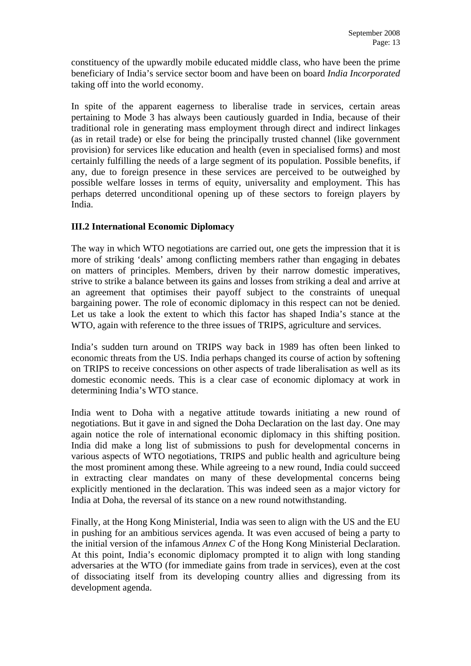constituency of the upwardly mobile educated middle class, who have been the prime beneficiary of India's service sector boom and have been on board *India Incorporated* taking off into the world economy.

In spite of the apparent eagerness to liberalise trade in services, certain areas pertaining to Mode 3 has always been cautiously guarded in India, because of their traditional role in generating mass employment through direct and indirect linkages (as in retail trade) or else for being the principally trusted channel (like government provision) for services like education and health (even in specialised forms) and most certainly fulfilling the needs of a large segment of its population. Possible benefits, if any, due to foreign presence in these services are perceived to be outweighed by possible welfare losses in terms of equity, universality and employment. This has perhaps deterred unconditional opening up of these sectors to foreign players by India.

### **III.2 International Economic Diplomacy**

The way in which WTO negotiations are carried out, one gets the impression that it is more of striking 'deals' among conflicting members rather than engaging in debates on matters of principles. Members, driven by their narrow domestic imperatives, strive to strike a balance between its gains and losses from striking a deal and arrive at an agreement that optimises their payoff subject to the constraints of unequal bargaining power. The role of economic diplomacy in this respect can not be denied. Let us take a look the extent to which this factor has shaped India's stance at the WTO, again with reference to the three issues of TRIPS, agriculture and services.

India's sudden turn around on TRIPS way back in 1989 has often been linked to economic threats from the US. India perhaps changed its course of action by softening on TRIPS to receive concessions on other aspects of trade liberalisation as well as its domestic economic needs. This is a clear case of economic diplomacy at work in determining India's WTO stance.

India went to Doha with a negative attitude towards initiating a new round of negotiations. But it gave in and signed the Doha Declaration on the last day. One may again notice the role of international economic diplomacy in this shifting position. India did make a long list of submissions to push for developmental concerns in various aspects of WTO negotiations, TRIPS and public health and agriculture being the most prominent among these. While agreeing to a new round, India could succeed in extracting clear mandates on many of these developmental concerns being explicitly mentioned in the declaration. This was indeed seen as a major victory for India at Doha, the reversal of its stance on a new round notwithstanding.

Finally, at the Hong Kong Ministerial, India was seen to align with the US and the EU in pushing for an ambitious services agenda. It was even accused of being a party to the initial version of the infamous *Annex C* of the Hong Kong Ministerial Declaration. At this point, India's economic diplomacy prompted it to align with long standing adversaries at the WTO (for immediate gains from trade in services), even at the cost of dissociating itself from its developing country allies and digressing from its development agenda.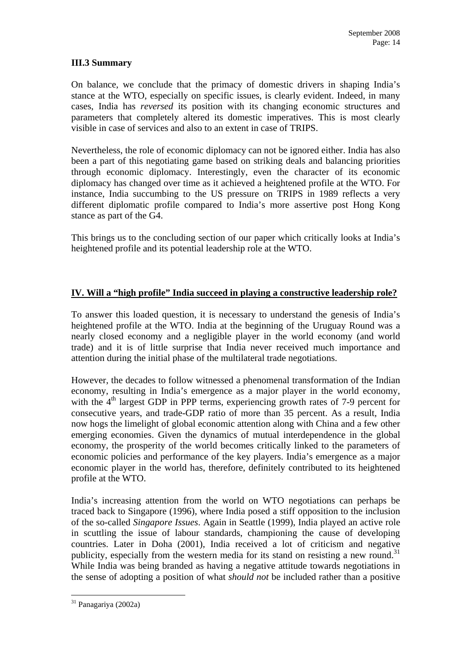## **III.3 Summary**

On balance, we conclude that the primacy of domestic drivers in shaping India's stance at the WTO, especially on specific issues, is clearly evident. Indeed, in many cases, India has *reversed* its position with its changing economic structures and parameters that completely altered its domestic imperatives. This is most clearly visible in case of services and also to an extent in case of TRIPS.

Nevertheless, the role of economic diplomacy can not be ignored either. India has also been a part of this negotiating game based on striking deals and balancing priorities through economic diplomacy. Interestingly, even the character of its economic diplomacy has changed over time as it achieved a heightened profile at the WTO. For instance, India succumbing to the US pressure on TRIPS in 1989 reflects a very different diplomatic profile compared to India's more assertive post Hong Kong stance as part of the G4.

This brings us to the concluding section of our paper which critically looks at India's heightened profile and its potential leadership role at the WTO.

## **IV. Will a "high profile" India succeed in playing a constructive leadership role?**

To answer this loaded question, it is necessary to understand the genesis of India's heightened profile at the WTO. India at the beginning of the Uruguay Round was a nearly closed economy and a negligible player in the world economy (and world trade) and it is of little surprise that India never received much importance and attention during the initial phase of the multilateral trade negotiations.

However, the decades to follow witnessed a phenomenal transformation of the Indian economy, resulting in India's emergence as a major player in the world economy, with the  $4<sup>th</sup>$  largest GDP in PPP terms, experiencing growth rates of 7-9 percent for consecutive years, and trade-GDP ratio of more than 35 percent. As a result, India now hogs the limelight of global economic attention along with China and a few other emerging economies. Given the dynamics of mutual interdependence in the global economy, the prosperity of the world becomes critically linked to the parameters of economic policies and performance of the key players. India's emergence as a major economic player in the world has, therefore, definitely contributed to its heightened profile at the WTO.

India's increasing attention from the world on WTO negotiations can perhaps be traced back to Singapore (1996), where India posed a stiff opposition to the inclusion of the so-called *Singapore Issues*. Again in Seattle (1999), India played an active role in scuttling the issue of labour standards, championing the cause of developing countries. Later in Doha (2001), India received a lot of criticism and negative publicity, especially from the western media for its stand on resisting a new round.<sup>31</sup> While India was being branded as having a negative attitude towards negotiations in the sense of adopting a position of what *should not* be included rather than a positive

<sup>&</sup>lt;sup>31</sup> Panagariya (2002a)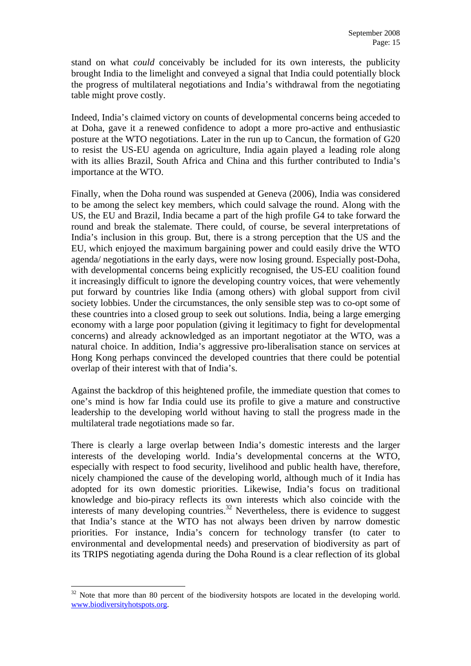stand on what *could* conceivably be included for its own interests, the publicity brought India to the limelight and conveyed a signal that India could potentially block the progress of multilateral negotiations and India's withdrawal from the negotiating table might prove costly.

Indeed, India's claimed victory on counts of developmental concerns being acceded to at Doha, gave it a renewed confidence to adopt a more pro-active and enthusiastic posture at the WTO negotiations. Later in the run up to Cancun, the formation of G20 to resist the US-EU agenda on agriculture, India again played a leading role along with its allies Brazil, South Africa and China and this further contributed to India's importance at the WTO.

Finally, when the Doha round was suspended at Geneva (2006), India was considered to be among the select key members, which could salvage the round. Along with the US, the EU and Brazil, India became a part of the high profile G4 to take forward the round and break the stalemate. There could, of course, be several interpretations of India's inclusion in this group. But, there is a strong perception that the US and the EU, which enjoyed the maximum bargaining power and could easily drive the WTO agenda/ negotiations in the early days, were now losing ground. Especially post-Doha, with developmental concerns being explicitly recognised, the US-EU coalition found it increasingly difficult to ignore the developing country voices, that were vehemently put forward by countries like India (among others) with global support from civil society lobbies. Under the circumstances, the only sensible step was to co-opt some of these countries into a closed group to seek out solutions. India, being a large emerging economy with a large poor population (giving it legitimacy to fight for developmental concerns) and already acknowledged as an important negotiator at the WTO, was a natural choice. In addition, India's aggressive pro-liberalisation stance on services at Hong Kong perhaps convinced the developed countries that there could be potential overlap of their interest with that of India's.

Against the backdrop of this heightened profile, the immediate question that comes to one's mind is how far India could use its profile to give a mature and constructive leadership to the developing world without having to stall the progress made in the multilateral trade negotiations made so far.

There is clearly a large overlap between India's domestic interests and the larger interests of the developing world. India's developmental concerns at the WTO, especially with respect to food security, livelihood and public health have, therefore, nicely championed the cause of the developing world, although much of it India has adopted for its own domestic priorities. Likewise, India's focus on traditional knowledge and bio-piracy reflects its own interests which also coincide with the interests of many developing countries.<sup>32</sup> Nevertheless, there is evidence to suggest that India's stance at the WTO has not always been driven by narrow domestic priorities. For instance, India's concern for technology transfer (to cater to environmental and developmental needs) and preservation of biodiversity as part of its TRIPS negotiating agenda during the Doha Round is a clear reflection of its global

<sup>&</sup>lt;sup>32</sup> Note that more than 80 percent of the biodiversity hotspots are located in the developing world. www.biodiversityhotspots.org.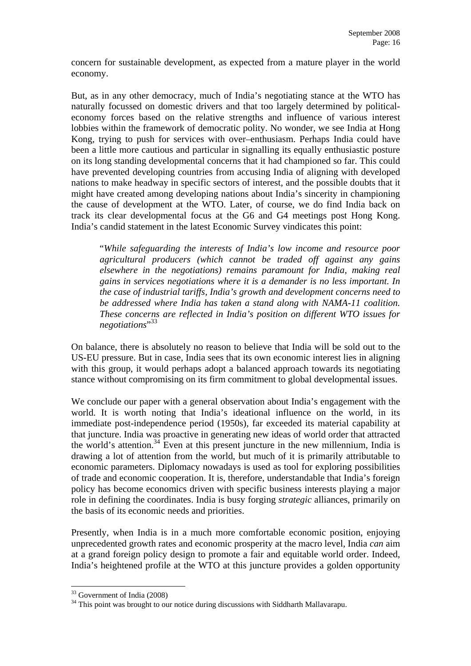concern for sustainable development, as expected from a mature player in the world economy.

But, as in any other democracy, much of India's negotiating stance at the WTO has naturally focussed on domestic drivers and that too largely determined by politicaleconomy forces based on the relative strengths and influence of various interest lobbies within the framework of democratic polity. No wonder, we see India at Hong Kong, trying to push for services with over–enthusiasm. Perhaps India could have been a little more cautious and particular in signalling its equally enthusiastic posture on its long standing developmental concerns that it had championed so far. This could have prevented developing countries from accusing India of aligning with developed nations to make headway in specific sectors of interest, and the possible doubts that it might have created among developing nations about India's sincerity in championing the cause of development at the WTO. Later, of course, we do find India back on track its clear developmental focus at the G6 and G4 meetings post Hong Kong. India's candid statement in the latest Economic Survey vindicates this point:

"*While safeguarding the interests of India's low income and resource poor agricultural producers (which cannot be traded off against any gains elsewhere in the negotiations) remains paramount for India, making real gains in services negotiations where it is a demander is no less important. In the case of industrial tariffs, India's growth and development concerns need to be addressed where India has taken a stand along with NAMA-11 coalition. These concerns are reflected in India's position on different WTO issues for negotiations*" 33

On balance, there is absolutely no reason to believe that India will be sold out to the US-EU pressure. But in case, India sees that its own economic interest lies in aligning with this group, it would perhaps adopt a balanced approach towards its negotiating stance without compromising on its firm commitment to global developmental issues.

We conclude our paper with a general observation about India's engagement with the world. It is worth noting that India's ideational influence on the world, in its immediate post-independence period (1950s), far exceeded its material capability at that juncture. India was proactive in generating new ideas of world order that attracted the world's attention.<sup>34</sup> Even at this present juncture in the new millennium, India is drawing a lot of attention from the world, but much of it is primarily attributable to economic parameters. Diplomacy nowadays is used as tool for exploring possibilities of trade and economic cooperation. It is, therefore, understandable that India's foreign policy has become economics driven with specific business interests playing a major role in defining the coordinates. India is busy forging *strategic* alliances, primarily on the basis of its economic needs and priorities.

Presently, when India is in a much more comfortable economic position, enjoying unprecedented growth rates and economic prosperity at the macro level, India *can* aim at a grand foreign policy design to promote a fair and equitable world order. Indeed, India's heightened profile at the WTO at this juncture provides a golden opportunity

<sup>33</sup> Government of India (2008)

 $34$  This point was brought to our notice during discussions with Siddharth Mallavarapu.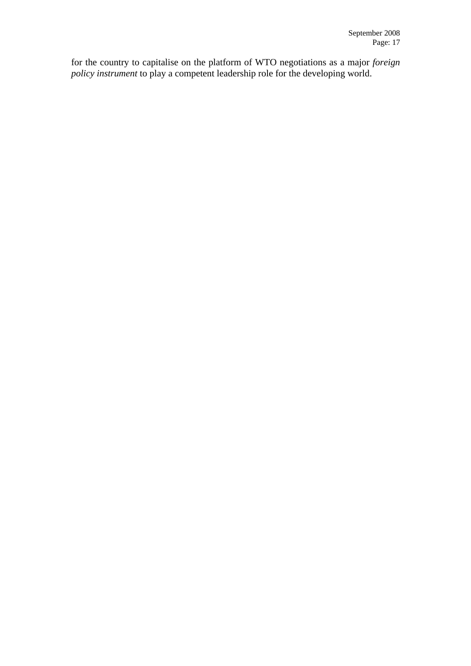for the country to capitalise on the platform of WTO negotiations as a major *foreign policy instrument* to play a competent leadership role for the developing world.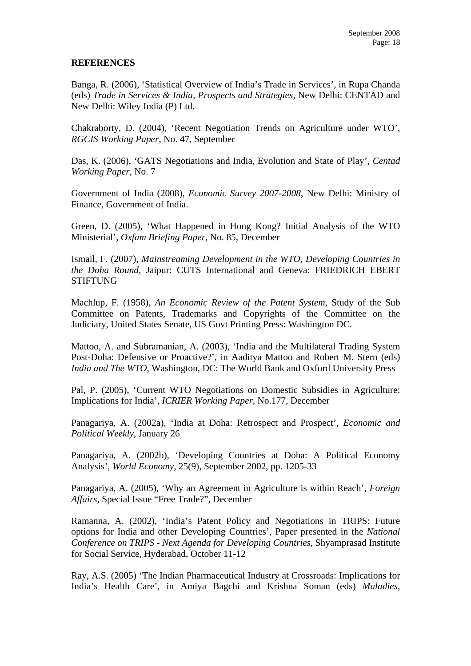### **REFERENCES**

Banga, R. (2006), 'Statistical Overview of India's Trade in Services', in Rupa Chanda (eds) *Trade in Services & India, Prospects and Strategies,* New Delhi: CENTAD and New Delhi: Wiley India (P) Ltd.

Chakraborty, D. (2004), 'Recent Negotiation Trends on Agriculture under WTO', *RGCIS Working Paper*, No. 47, September

Das, K. (2006), 'GATS Negotiations and India, Evolution and State of Play', *Centad Working Paper,* No. 7

Government of India (2008), *Economic Survey 2007-2008*, New Delhi: Ministry of Finance, Government of India.

Green, D. (2005), 'What Happened in Hong Kong? Initial Analysis of the WTO Ministerial', *Oxfam Briefing Paper,* No. 85, December

Ismail, F. (2007), *Mainstreaming Development in the WTO, Developing Countries in the Doha Round,* Jaipur: CUTS International and Geneva: FRIEDRICH EBERT STIFTUNG

Machlup, F. (1958), *An Economic Review of the Patent System*, Study of the Sub Committee on Patents, Trademarks and Copyrights of the Committee on the Judiciary, United States Senate, US Govt Printing Press: Washington DC.

Mattoo, A. and Subramanian, A. (2003), 'India and the Multilateral Trading System Post-Doha: Defensive or Proactive?', in Aaditya Mattoo and Robert M. Stern (eds) *India and The WTO*, Washington, DC: The World Bank and Oxford University Press

Pal, P. (2005), 'Current WTO Negotiations on Domestic Subsidies in Agriculture: Implications for India', *ICRIER Working Paper,* No.177, December

Panagariya, A. (2002a), 'India at Doha: Retrospect and Prospect', *Economic and Political Weekly*, January 26

Panagariya, A. (2002b), 'Developing Countries at Doha: A Political Economy Analysis', *World Economy*, 25(9), September 2002, pp. 1205-33

Panagariya, A. (2005), 'Why an Agreement in Agriculture is within Reach', *Foreign Affairs,* Special Issue "Free Trade?", December

Ramanna, A. (2002), 'India's Patent Policy and Negotiations in TRIPS: Future options for India and other Developing Countries', Paper presented in the *National Conference on TRIPS - Next Agenda for Developing Countries*, Shyamprasad Institute for Social Service, Hyderabad, October 11-12

Ray, A.S. (2005) 'The Indian Pharmaceutical Industry at Crossroads: Implications for India's Health Care', in Amiya Bagchi and Krishna Soman (eds) *Maladies,*